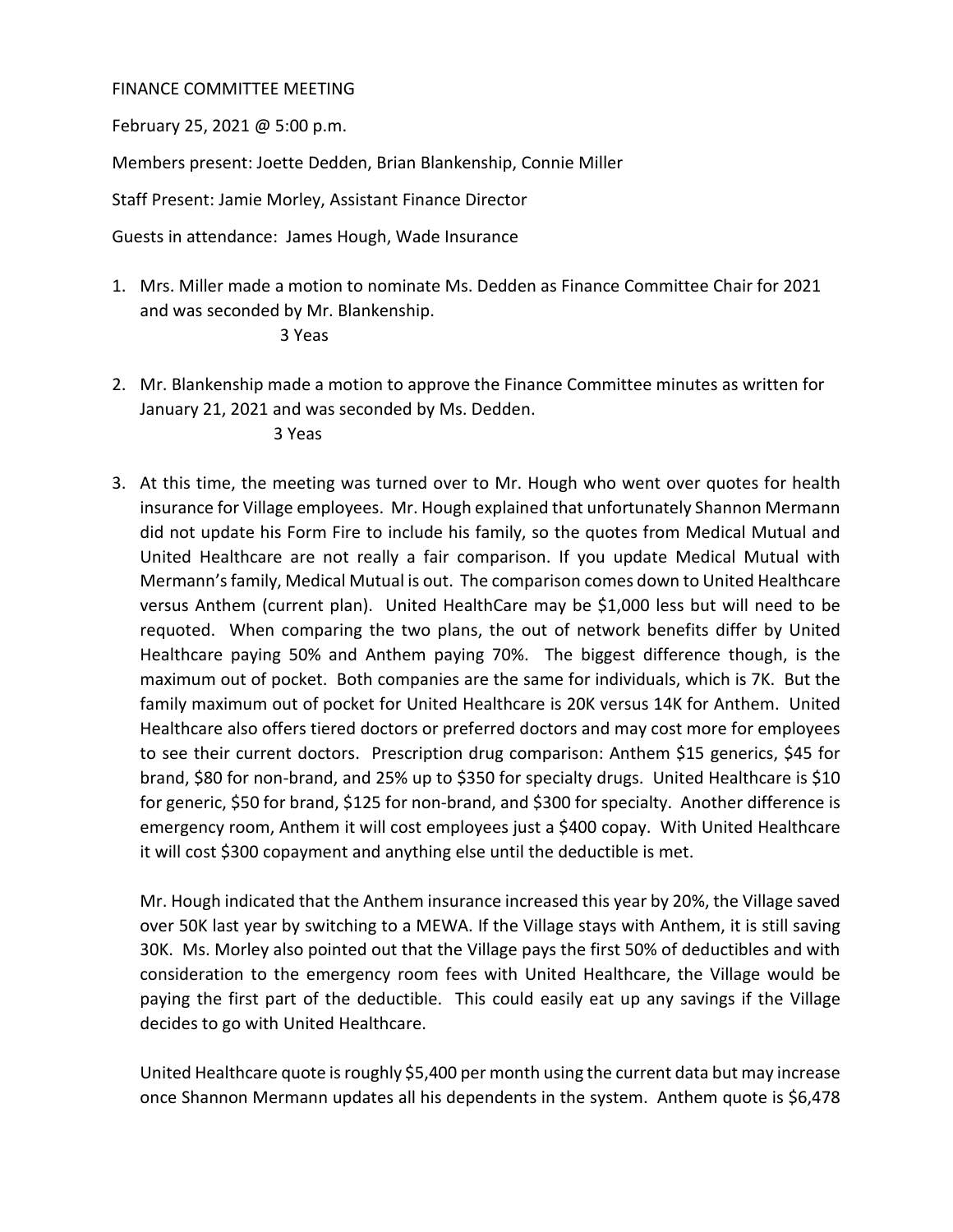## FINANCE COMMITTEE MEETING

February 25, 2021 @ 5:00 p.m.

Members present: Joette Dedden, Brian Blankenship, Connie Miller

Staff Present: Jamie Morley, Assistant Finance Director

Guests in attendance: James Hough, Wade Insurance

1. Mrs. Miller made a motion to nominate Ms. Dedden as Finance Committee Chair for 2021 and was seconded by Mr. Blankenship.

## 3 Yeas

2. Mr. Blankenship made a motion to approve the Finance Committee minutes as written for January 21, 2021 and was seconded by Ms. Dedden.

3 Yeas

3. At this time, the meeting was turned over to Mr. Hough who went over quotes for health insurance for Village employees. Mr. Hough explained that unfortunately Shannon Mermann did not update his Form Fire to include his family, so the quotes from Medical Mutual and United Healthcare are not really a fair comparison. If you update Medical Mutual with Mermann's family, Medical Mutual is out. The comparison comes down to United Healthcare versus Anthem (current plan). United HealthCare may be \$1,000 less but will need to be requoted. When comparing the two plans, the out of network benefits differ by United Healthcare paying 50% and Anthem paying 70%. The biggest difference though, is the maximum out of pocket. Both companies are the same for individuals, which is 7K. But the family maximum out of pocket for United Healthcare is 20K versus 14K for Anthem. United Healthcare also offers tiered doctors or preferred doctors and may cost more for employees to see their current doctors. Prescription drug comparison: Anthem \$15 generics, \$45 for brand, \$80 for non-brand, and 25% up to \$350 for specialty drugs. United Healthcare is \$10 for generic, \$50 for brand, \$125 for non-brand, and \$300 for specialty. Another difference is emergency room, Anthem it will cost employees just a \$400 copay. With United Healthcare it will cost \$300 copayment and anything else until the deductible is met.

Mr. Hough indicated that the Anthem insurance increased this year by 20%, the Village saved over 50K last year by switching to a MEWA. If the Village stays with Anthem, it is still saving 30K. Ms. Morley also pointed out that the Village pays the first 50% of deductibles and with consideration to the emergency room fees with United Healthcare, the Village would be paying the first part of the deductible. This could easily eat up any savings if the Village decides to go with United Healthcare.

United Healthcare quote is roughly \$5,400 per month using the current data but may increase once Shannon Mermann updates all his dependents in the system. Anthem quote is \$6,478